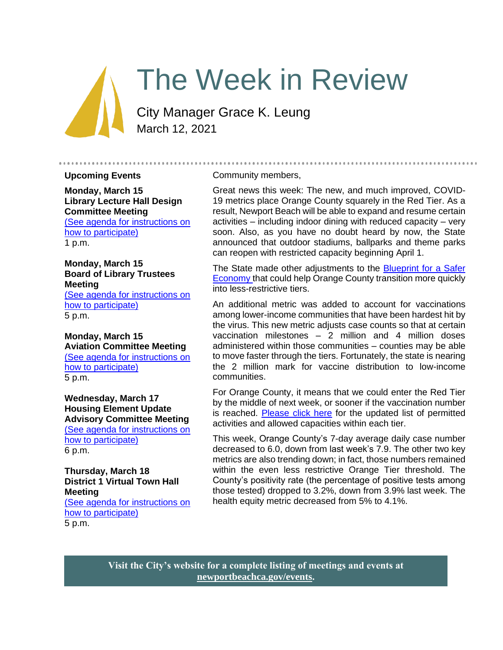# The Week in Review

City Manager Grace K. Leung March 12, 2021

#### **Upcoming Events**

**Monday, March 15 Library Lecture Hall Design Committee Meeting** [\(See agenda for instructions on](https://newportbeachca.gov/Home/Components/Calendar/Event/65871/72)  [how to participate\)](https://newportbeachca.gov/Home/Components/Calendar/Event/65871/72)

1 p.m.

# **Monday, March 15 Board of Library Trustees Meeting**

[\(See agenda for instructions on](https://newportbeachca.gov/Home/Components/Calendar/Event/63656/72)  [how to participate\)](https://newportbeachca.gov/Home/Components/Calendar/Event/63656/72) 5 p.m.

#### **Monday, March 15 Aviation Committee Meeting** [\(See agenda for instructions on](https://newportbeachca.gov/Home/Components/Calendar/Event/66374/72)  [how to participate\)](https://newportbeachca.gov/Home/Components/Calendar/Event/66374/72) 5 p.m.

**Wednesday, March 17 Housing Element Update Advisory Committee Meeting** [\(See agenda for instructions on](https://www.newportbeachca.gov/government/data-hub/agendas-minutes/housing-element-update-advisory-committee)  [how to participate\)](https://www.newportbeachca.gov/government/data-hub/agendas-minutes/housing-element-update-advisory-committee) 6 p.m.

**Thursday, March 18 District 1 Virtual Town Hall Meeting** [\(See agenda for instructions on](https://newportbeachca.gov/Home/Components/Calendar/Event/66376/72)  [how to participate\)](https://newportbeachca.gov/Home/Components/Calendar/Event/66376/72) 5 p.m.

#### Community members,

Great news this week: The new, and much improved, COVID-19 metrics place Orange County squarely in the Red Tier. As a result, Newport Beach will be able to expand and resume certain activities – including indoor dining with reduced capacity – very soon. Also, as you have no doubt heard by now, the State announced that outdoor stadiums, ballparks and theme parks can reopen with restricted capacity beginning April 1.

..........................

The State made other adjustments to the **Blueprint for a Safer** [Economy](https://covid19.ca.gov/safer-economy/#county-status) that could help Orange County transition more quickly into less-restrictive tiers.

An additional metric was added to account for vaccinations among lower-income communities that have been hardest hit by the virus. This new metric adjusts case counts so that at certain vaccination milestones – 2 million and 4 million doses administered within those communities – counties may be able to move faster through the tiers. Fortunately, the state is nearing the 2 million mark for vaccine distribution to low-income communities.

For Orange County, it means that we could enter the Red Tier by the middle of next week, or sooner if the vaccination number is reached. [Please click here](https://www.cdph.ca.gov/Programs/CID/DCDC/CDPH%20Document%20Library/COVID-19/Dimmer-Framework-September_2020.pdf) for the updated list of permitted activities and allowed capacities within each tier.

This week, Orange County's 7-day average daily case number decreased to 6.0, down from last week's 7.9. The other two key metrics are also trending down; in fact, those numbers remained within the even less restrictive Orange Tier threshold. The County's positivity rate (the percentage of positive tests among those tested) dropped to 3.2%, down from 3.9% last week. The health equity metric decreased from 5% to 4.1%.

**Visit the City's website for a complete listing of meetings and events at [newportbeachca.gov/events.](https://www.newportbeachca.gov/government/data-hub/city-calendar)**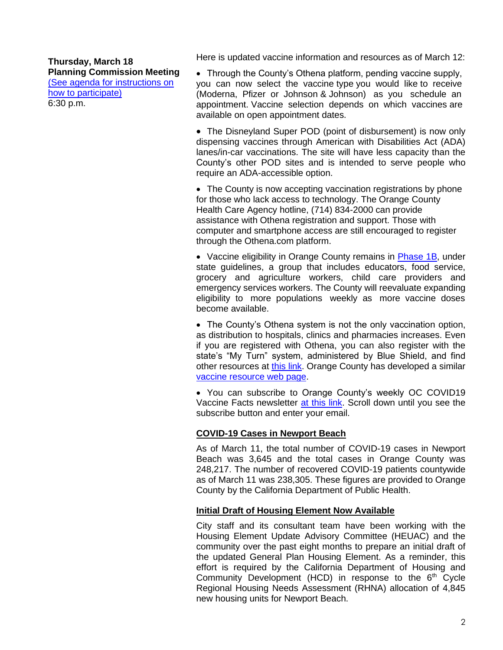Here is updated vaccine information and resources as of March 12:

**Thursday, March 18 Planning Commission Meeting** [\(See agenda for instructions on](https://www.newportbeachca.gov/government/departments/community-development/planning-division/planning-commission)  [how to participate\)](https://www.newportbeachca.gov/government/departments/community-development/planning-division/planning-commission) 6:30 p.m.

• Through the County's Othena platform, pending vaccine supply, you can now select the vaccine type you would like to receive (Moderna, Pfizer or Johnson & Johnson) as you schedule an appointment. Vaccine selection depends on which vaccines are available on open appointment dates.

• The Disneyland Super POD (point of disbursement) is now only dispensing vaccines through American with Disabilities Act (ADA) lanes/in-car vaccinations. The site will have less capacity than the County's other POD sites and is intended to serve people who require an ADA-accessible option.

• The County is now accepting vaccination registrations by phone for those who lack access to technology. The Orange County Health Care Agency hotline, (714) 834-2000 can provide assistance with Othena registration and support. Those with computer and smartphone access are still encouraged to register through the Othena.com platform.

• Vaccine eligibility in Orange County remains in **Phase 1B**, under state guidelines, a group that includes educators, food service, grocery and agriculture workers, child care providers and emergency services workers. The County will reevaluate expanding eligibility to more populations weekly as more vaccine doses become available.

• The County's Othena system is not the only vaccination option, as distribution to hospitals, clinics and pharmacies increases. Even if you are registered with Othena, you can also register with the state's "My Turn" system, administered by Blue Shield, and find other resources at [this link.](https://www.blueshieldca.com/bsca/bsc/wcm/connect/sites/sites_content_en/coronavirus/vaccine-locations) Orange County has developed a similar [vaccine resource web page.](https://occovid19.ochealthinfo.com/covid-19-vaccine-distribution-channels)

• You can subscribe to Orange County's weekly OC COVID19 Vaccine Facts newsletter [at this link.](https://occovid19.ochealthinfo.com/covid-19-vaccine-resources) Scroll down until you see the subscribe button and enter your email.

# **COVID-19 Cases in Newport Beach**

As of March 11, the total number of COVID-19 cases in Newport Beach was 3,645 and the total cases in Orange County was 248,217. The number of recovered COVID-19 patients countywide as of March 11 was 238,305. These figures are provided to Orange County by the California Department of Public Health.

# **Initial Draft of Housing Element Now Available**

City staff and its consultant team have been working with the Housing Element Update Advisory Committee (HEUAC) and the community over the past eight months to prepare an initial draft of the updated General Plan Housing Element. As a reminder, this effort is required by the California Department of Housing and Community Development (HCD) in response to the  $6<sup>th</sup>$  Cycle Regional Housing Needs Assessment (RHNA) allocation of 4,845 new housing units for Newport Beach.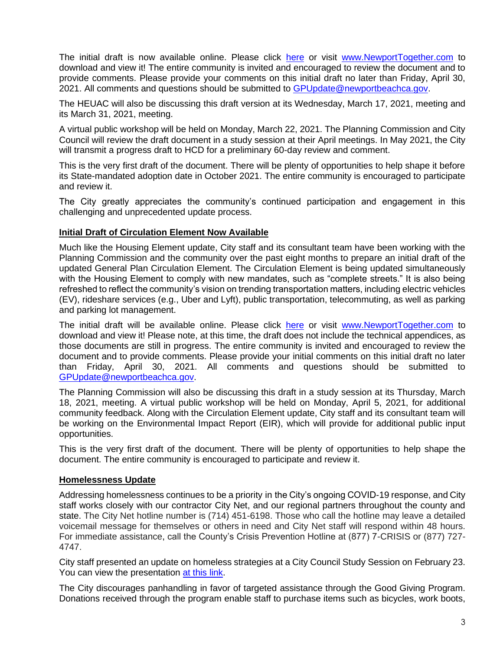The initial draft is now available online. Please click [here](http://www.newportbeachca.gov/DraftHEUpdate) or visit [www.NewportTogether.com](http://www.newporttogether.com/) to download and view it! The entire community is invited and encouraged to review the document and to provide comments. Please provide your comments on this initial draft no later than Friday, April 30, 2021. All comments and questions should be submitted to [GPUpdate@newportbeachca.gov.](mailto:GPUpdate@newportbeachca.gov)

The HEUAC will also be discussing this draft version at its Wednesday, March 17, 2021, meeting and its March 31, 2021, meeting.

A virtual public workshop will be held on Monday, March 22, 2021. The Planning Commission and City Council will review the draft document in a study session at their April meetings. In May 2021, the City will transmit a progress draft to HCD for a preliminary 60-day review and comment.

This is the very first draft of the document. There will be plenty of opportunities to help shape it before its State-mandated adoption date in October 2021. The entire community is encouraged to participate and review it.

The City greatly appreciates the community's continued participation and engagement in this challenging and unprecedented update process.

# **Initial Draft of Circulation Element Now Available**

Much like the Housing Element update, City staff and its consultant team have been working with the Planning Commission and the community over the past eight months to prepare an initial draft of the updated General Plan Circulation Element. The Circulation Element is being updated simultaneously with the Housing Element to comply with new mandates, such as "complete streets." It is also being refreshed to reflect the community's vision on trending transportation matters, including electric vehicles (EV), rideshare services (e.g., Uber and Lyft), public transportation, telecommuting, as well as parking and parking lot management.

The initial draft will be available online. Please click [here](http://www.newportbeachca.gov/DraftCEUpdate) or visit [www.NewportTogether.com](http://www.newporttogether.com/) to download and view it! Please note, at this time, the draft does not include the technical appendices, as those documents are still in progress. The entire community is invited and encouraged to review the document and to provide comments. Please provide your initial comments on this initial draft no later than Friday, April 30, 2021. All comments and questions should be submitted to [GPUpdate@newportbeachca.gov.](mailto:GPUpdate@newportbeachca.gov)

The Planning Commission will also be discussing this draft in a study session at its Thursday, March 18, 2021, meeting. A virtual public workshop will be held on Monday, April 5, 2021, for additional community feedback. Along with the Circulation Element update, City staff and its consultant team will be working on the Environmental Impact Report (EIR), which will provide for additional public input opportunities.

This is the very first draft of the document. There will be plenty of opportunities to help shape the document. The entire community is encouraged to participate and review it.

## **Homelessness Update**

Addressing homelessness continues to be a priority in the City's ongoing COVID-19 response, and City staff works closely with our contractor City Net, and our regional partners throughout the county and state. The City Net hotline number is (714) 451-6198. Those who call the hotline may leave a detailed voicemail message for themselves or others in need and City Net staff will respond within 48 hours. For immediate assistance, call the County's Crisis Prevention Hotline at (877) 7-CRISIS or (877) 727- 4747.

City staff presented an update on homeless strategies at a City Council Study Session on February 23. You can view the presentation [at this link.](http://newportbeach.granicus.com/MediaPlayer.php?view_id=44&clip_id=3649)

The City discourages panhandling in favor of targeted assistance through the Good Giving Program. Donations received through the program enable staff to purchase items such as bicycles, work boots,